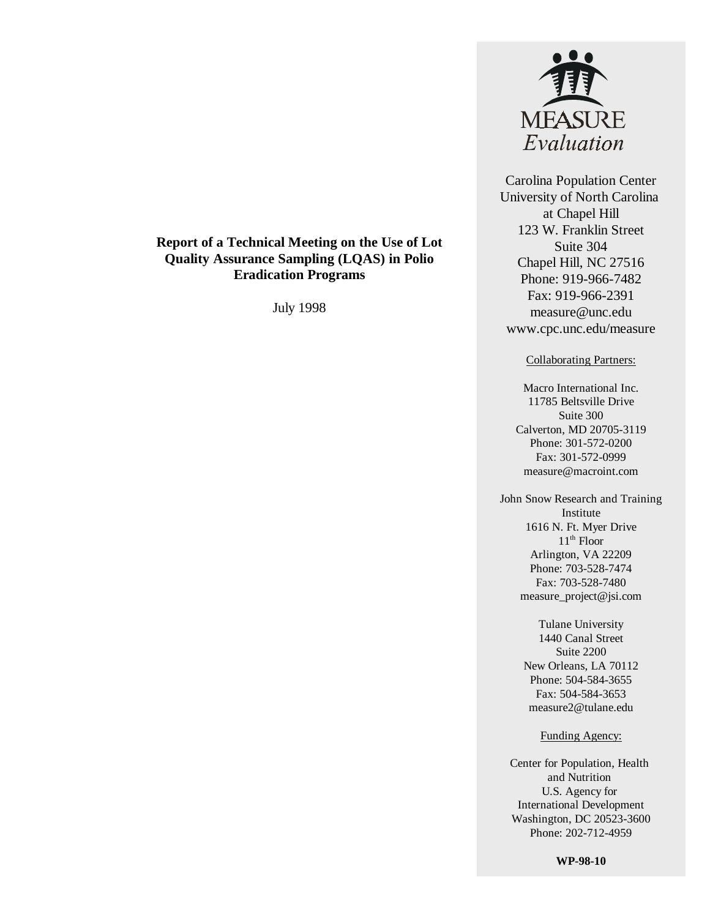

Carolina Population Center University of North Carolina at Chapel Hill 123 W. Franklin Street Suite 304 Chapel Hill, NC 27516 Phone: 919-966-7482 Fax: 919-966-2391 measure@unc.edu www.cpc.unc.edu/measure

#### Collaborating Partners:

Macro International Inc. 11785 Beltsville Drive Suite 300 Calverton, MD 20705-3119 Phone: 301-572-0200 Fax: 301-572-0999 measure@macroint.com

John Snow Research and Training Institute 1616 N. Ft. Myer Drive  $11<sup>th</sup>$  Floor Arlington, VA 22209 Phone: 703-528-7474 Fax: 703-528-7480 measure\_project@jsi.com

> Tulane University 1440 Canal Street Suite 2200 New Orleans, LA 70112 Phone: 504-584-3655 Fax: 504-584-3653 measure2@tulane.edu

#### Funding Agency:

Center for Population, Health and Nutrition U.S. Agency for International Development Washington, DC 20523-3600 Phone: 202-712-4959

**WP-98-10**

#### **Report of a Technical Meeting on the Use of Lot Quality Assurance Sampling (LQAS) in Polio Eradication Programs**

July 1998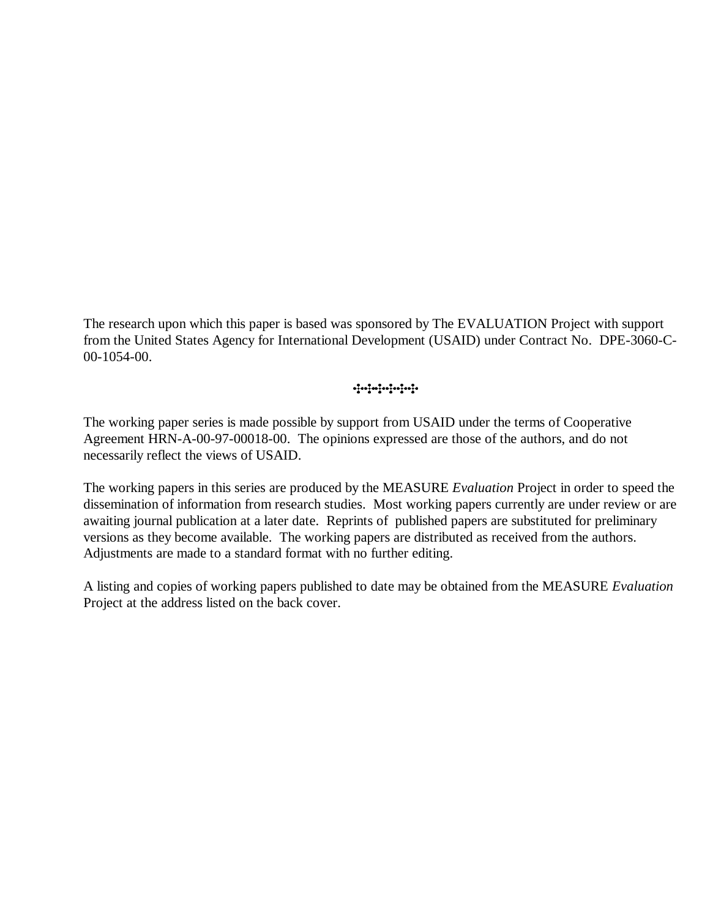The research upon which this paper is based was sponsored by The EVALUATION Project with support from the United States Agency for International Development (USAID) under Contract No. DPE-3060-C-00-1054-00.

ရန်စဉ်စဉ်စဉ်စဉ်စဉ်စဉ်

The working paper series is made possible by support from USAID under the terms of Cooperative Agreement HRN-A-00-97-00018-00. The opinions expressed are those of the authors, and do not necessarily reflect the views of USAID.

The working papers in this series are produced by the MEASURE *Evaluation* Project in order to speed the dissemination of information from research studies. Most working papers currently are under review or are awaiting journal publication at a later date. Reprints of published papers are substituted for preliminary versions as they become available. The working papers are distributed as received from the authors. Adjustments are made to a standard format with no further editing.

A listing and copies of working papers published to date may be obtained from the MEASURE *Evaluation* Project at the address listed on the back cover.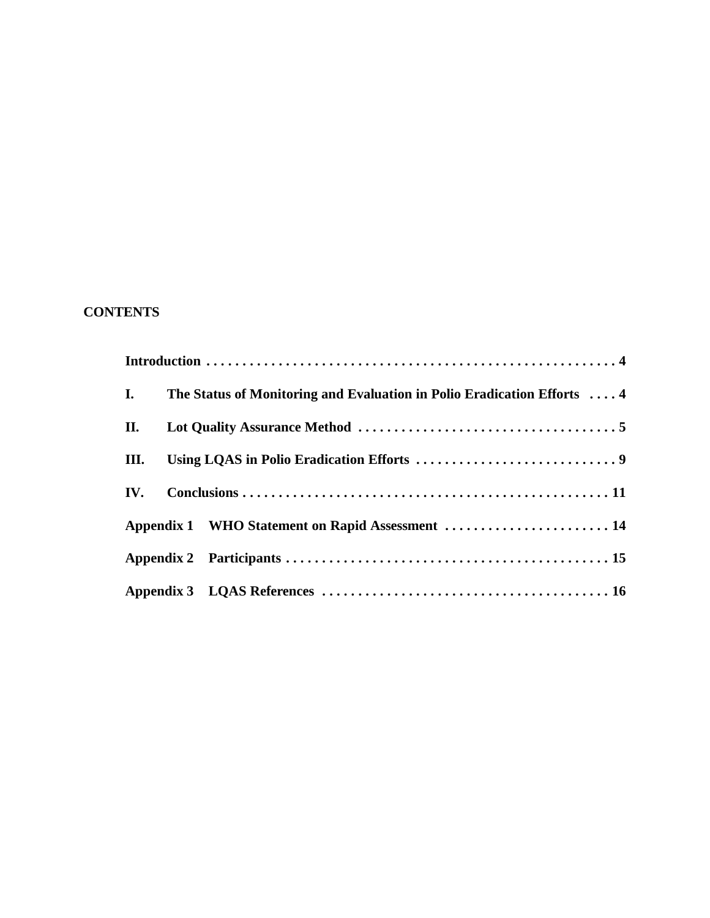# **CONTENTS**

| I.   | The Status of Monitoring and Evaluation in Polio Eradication Efforts  4 |  |
|------|-------------------------------------------------------------------------|--|
| П.   |                                                                         |  |
| III. |                                                                         |  |
|      |                                                                         |  |
|      | Appendix 1 WHO Statement on Rapid Assessment  14                        |  |
|      |                                                                         |  |
|      |                                                                         |  |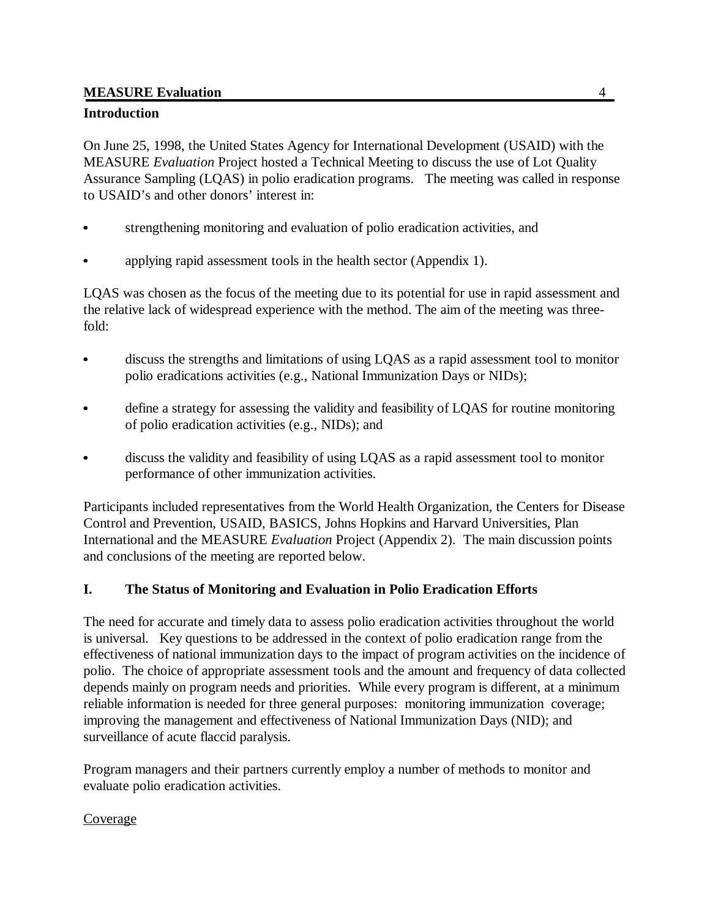# **Introduction**

On June 25, 1998, the United States Agency for International Development (USAID) with the MEASURE *Evaluation* Project hosted a Technical Meeting to discuss the use of Lot Quality Assurance Sampling (LQAS) in polio eradication programs. The meeting was called in response to USAID's and other donors' interest in:

- strengthening monitoring and evaluation of polio eradication activities, and
- applying rapid assessment tools in the health sector (Appendix 1).

LQAS was chosen as the focus of the meeting due to its potential for use in rapid assessment and the relative lack of widespread experience with the method. The aim of the meeting was threefold:

- discuss the strengths and limitations of using LQAS as a rapid assessment tool to monitor polio eradications activities (e.g., National Immunization Days or NIDs);
- define a strategy for assessing the validity and feasibility of LQAS for routine monitoring of polio eradication activities (e.g., NIDs); and
- discuss the validity and feasibility of using LQAS as a rapid assessment tool to monitor performance of other immunization activities.

Participants included representatives from the World Health Organization, the Centers for Disease Control and Prevention, USAID, BASICS, Johns Hopkins and Harvard Universities, Plan International and the MEASURE *Evaluation* Project (Appendix 2). The main discussion points and conclusions of the meeting are reported below.

# **I. The Status of Monitoring and Evaluation in Polio Eradication Efforts**

The need for accurate and timely data to assess polio eradication activities throughout the world is universal. Key questions to be addressed in the context of polio eradication range from the effectiveness of national immunization days to the impact of program activities on the incidence of polio. The choice of appropriate assessment tools and the amount and frequency of data collected depends mainly on program needs and priorities. While every program is different, at a minimum reliable information is needed for three general purposes: monitoring immunization coverage; improving the management and effectiveness of National Immunization Days (NID); and surveillance of acute flaccid paralysis.

Program managers and their partners currently employ a number of methods to monitor and evaluate polio eradication activities.

## Coverage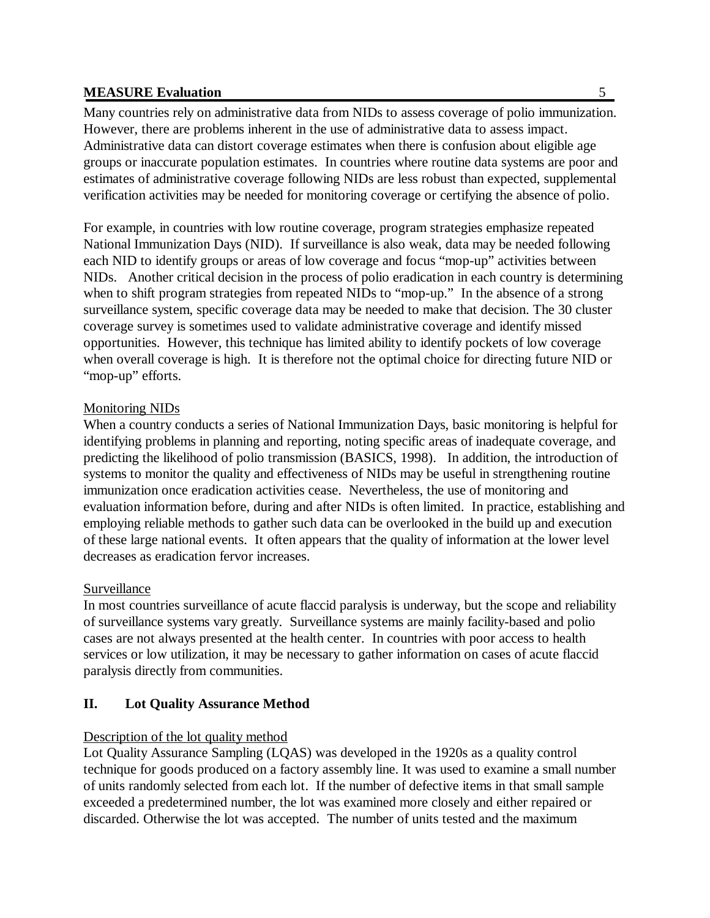Many countries rely on administrative data from NIDs to assess coverage of polio immunization. However, there are problems inherent in the use of administrative data to assess impact. Administrative data can distort coverage estimates when there is confusion about eligible age groups or inaccurate population estimates. In countries where routine data systems are poor and estimates of administrative coverage following NIDs are less robust than expected, supplemental verification activities may be needed for monitoring coverage or certifying the absence of polio.

For example, in countries with low routine coverage, program strategies emphasize repeated National Immunization Days (NID). If surveillance is also weak, data may be needed following each NID to identify groups or areas of low coverage and focus "mop-up" activities between NIDs. Another critical decision in the process of polio eradication in each country is determining when to shift program strategies from repeated NIDs to "mop-up." In the absence of a strong surveillance system, specific coverage data may be needed to make that decision. The 30 cluster coverage survey is sometimes used to validate administrative coverage and identify missed opportunities. However, this technique has limited ability to identify pockets of low coverage when overall coverage is high. It is therefore not the optimal choice for directing future NID or "mop-up" efforts.

#### Monitoring NIDs

When a country conducts a series of National Immunization Days, basic monitoring is helpful for identifying problems in planning and reporting, noting specific areas of inadequate coverage, and predicting the likelihood of polio transmission (BASICS, 1998). In addition, the introduction of systems to monitor the quality and effectiveness of NIDs may be useful in strengthening routine immunization once eradication activities cease. Nevertheless, the use of monitoring and evaluation information before, during and after NIDs is often limited. In practice, establishing and employing reliable methods to gather such data can be overlooked in the build up and execution of these large national events. It often appears that the quality of information at the lower level decreases as eradication fervor increases.

## Surveillance

In most countries surveillance of acute flaccid paralysis is underway, but the scope and reliability of surveillance systems vary greatly. Surveillance systems are mainly facility-based and polio cases are not always presented at the health center. In countries with poor access to health services or low utilization, it may be necessary to gather information on cases of acute flaccid paralysis directly from communities.

## **II. Lot Quality Assurance Method**

## Description of the lot quality method

Lot Quality Assurance Sampling (LQAS) was developed in the 1920s as a quality control technique for goods produced on a factory assembly line. It was used to examine a small number of units randomly selected from each lot. If the number of defective items in that small sample exceeded a predetermined number, the lot was examined more closely and either repaired or discarded. Otherwise the lot was accepted. The number of units tested and the maximum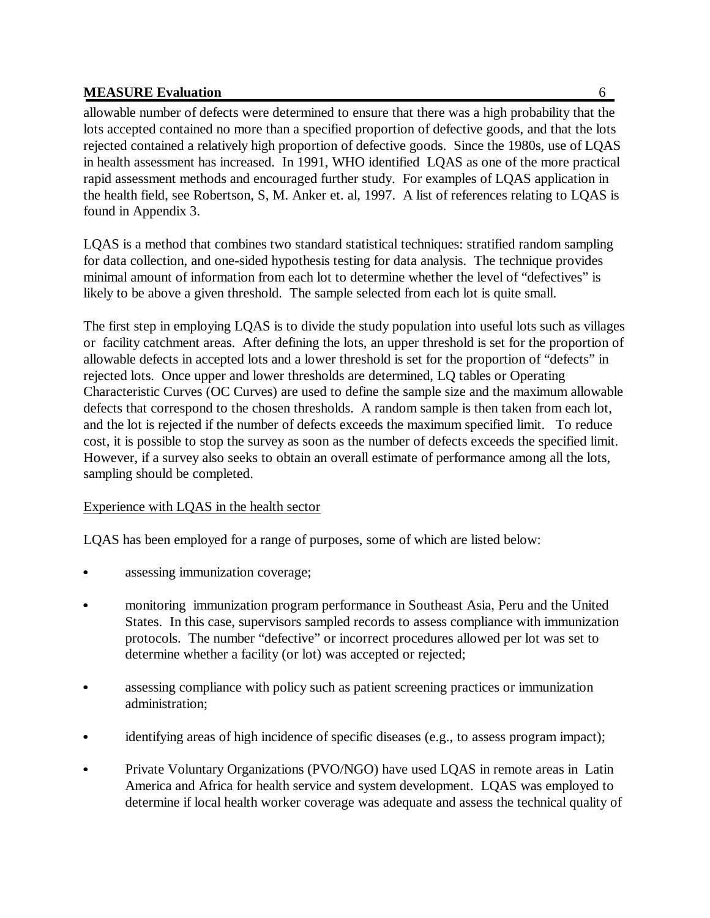found in Appendix 3.

allowable number of defects were determined to ensure that there was a high probability that the lots accepted contained no more than a specified proportion of defective goods, and that the lots rejected contained a relatively high proportion of defective goods. Since the 1980s, use of LQAS in health assessment has increased. In 1991, WHO identified LQAS as one of the more practical rapid assessment methods and encouraged further study. For examples of LQAS application in

LQAS is a method that combines two standard statistical techniques: stratified random sampling for data collection, and one-sided hypothesis testing for data analysis. The technique provides minimal amount of information from each lot to determine whether the level of "defectives" is likely to be above a given threshold. The sample selected from each lot is quite small.

the health field, see Robertson, S, M. Anker et. al, 1997. A list of references relating to LQAS is

The first step in employing LQAS is to divide the study population into useful lots such as villages or facility catchment areas. After defining the lots, an upper threshold is set for the proportion of allowable defects in accepted lots and a lower threshold is set for the proportion of "defects" in rejected lots. Once upper and lower thresholds are determined, LQ tables or Operating Characteristic Curves (OC Curves) are used to define the sample size and the maximum allowable defects that correspond to the chosen thresholds. A random sample is then taken from each lot, and the lot is rejected if the number of defects exceeds the maximum specified limit. To reduce cost, it is possible to stop the survey as soon as the number of defects exceeds the specified limit. However, if a survey also seeks to obtain an overall estimate of performance among all the lots, sampling should be completed.

## Experience with LQAS in the health sector

LQAS has been employed for a range of purposes, some of which are listed below:

- assessing immunization coverage;
- monitoring immunization program performance in Southeast Asia, Peru and the United States. In this case, supervisors sampled records to assess compliance with immunization protocols. The number "defective" or incorrect procedures allowed per lot was set to determine whether a facility (or lot) was accepted or rejected;
- $\bullet$  assessing compliance with policy such as patient screening practices or immunization administration;
- identifying areas of high incidence of specific diseases (e.g., to assess program impact);
- $\bullet$  Private Voluntary Organizations (PVO/NGO) have used LQAS in remote areas in Latin America and Africa for health service and system development. LQAS was employed to determine if local health worker coverage was adequate and assess the technical quality of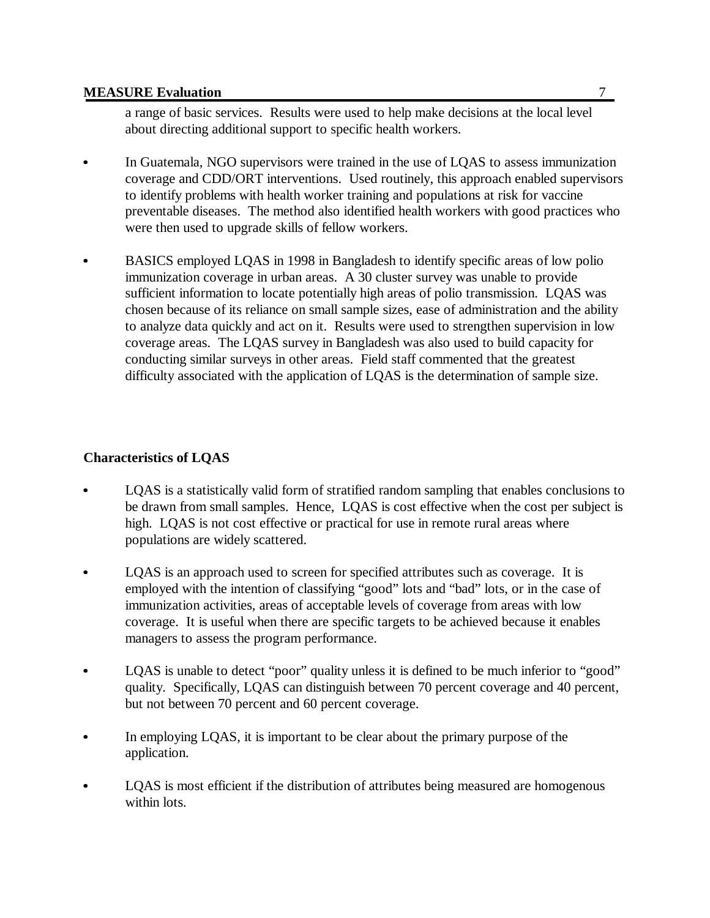a range of basic services. Results were used to help make decisions at the local level about directing additional support to specific health workers.

- $\bullet$  In Guatemala, NGO supervisors were trained in the use of LQAS to assess immunization coverage and CDD/ORT interventions. Used routinely, this approach enabled supervisors to identify problems with health worker training and populations at risk for vaccine preventable diseases. The method also identified health workers with good practices who were then used to upgrade skills of fellow workers.
- $\bullet$  BASICS employed LQAS in 1998 in Bangladesh to identify specific areas of low polio immunization coverage in urban areas. A 30 cluster survey was unable to provide sufficient information to locate potentially high areas of polio transmission. LQAS was chosen because of its reliance on small sample sizes, ease of administration and the ability to analyze data quickly and act on it. Results were used to strengthen supervision in low coverage areas. The LQAS survey in Bangladesh was also used to build capacity for conducting similar surveys in other areas. Field staff commented that the greatest difficulty associated with the application of LQAS is the determination of sample size.

### **Characteristics of LQAS**

- LQAS is a statistically valid form of stratified random sampling that enables conclusions to be drawn from small samples. Hence, LQAS is cost effective when the cost per subject is high. LQAS is not cost effective or practical for use in remote rural areas where populations are widely scattered.
- $\bullet$  LQAS is an approach used to screen for specified attributes such as coverage. It is employed with the intention of classifying "good" lots and "bad" lots, or in the case of immunization activities, areas of acceptable levels of coverage from areas with low coverage. It is useful when there are specific targets to be achieved because it enables managers to assess the program performance.
- $\bullet$ LQAS is unable to detect "poor" quality unless it is defined to be much inferior to "good" quality. Specifically, LQAS can distinguish between 70 percent coverage and 40 percent, but not between 70 percent and 60 percent coverage.
- In employing LQAS, it is important to be clear about the primary purpose of the application.
- LQAS is most efficient if the distribution of attributes being measured are homogenous within lots.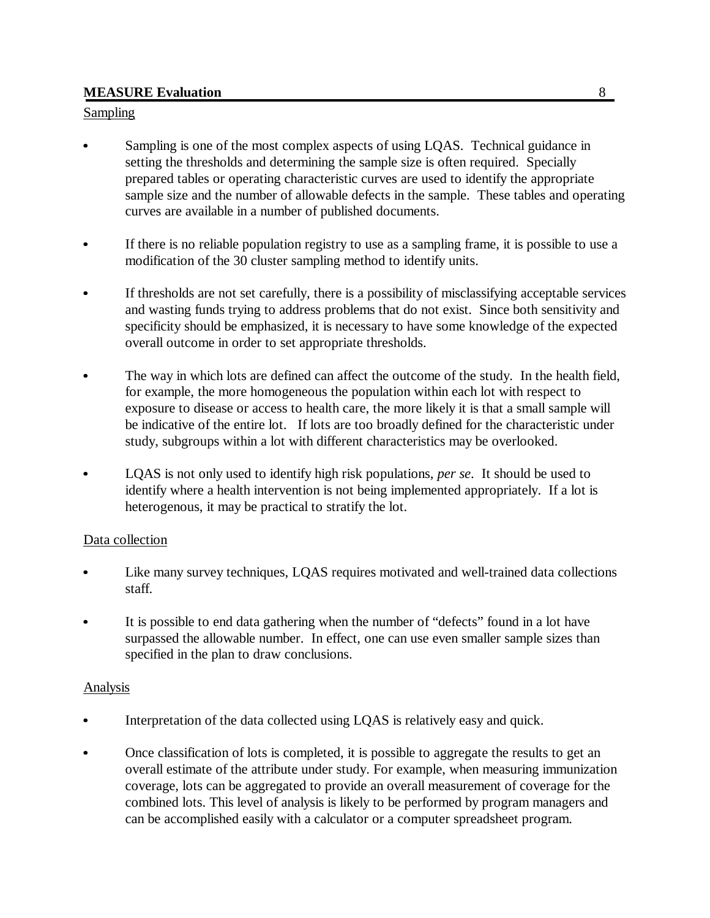#### Sampling

- Sampling is one of the most complex aspects of using LQAS. Technical guidance in setting the thresholds and determining the sample size is often required. Specially prepared tables or operating characteristic curves are used to identify the appropriate sample size and the number of allowable defects in the sample. These tables and operating curves are available in a number of published documents.
- $\bullet$  If there is no reliable population registry to use as a sampling frame, it is possible to use a modification of the 30 cluster sampling method to identify units.
- If thresholds are not set carefully, there is a possibility of misclassifying acceptable services and wasting funds trying to address problems that do not exist. Since both sensitivity and specificity should be emphasized, it is necessary to have some knowledge of the expected overall outcome in order to set appropriate thresholds.
- $\bullet$  The way in which lots are defined can affect the outcome of the study. In the health field, for example, the more homogeneous the population within each lot with respect to exposure to disease or access to health care, the more likely it is that a small sample will be indicative of the entire lot. If lots are too broadly defined for the characteristic under study, subgroups within a lot with different characteristics may be overlooked.
- LQAS is not only used to identify high risk populations, *per se*. It should be used to identify where a health intervention is not being implemented appropriately. If a lot is heterogenous, it may be practical to stratify the lot.

## Data collection

- Like many survey techniques, LQAS requires motivated and well-trained data collections staff.
- It is possible to end data gathering when the number of "defects" found in a lot have surpassed the allowable number. In effect, one can use even smaller sample sizes than specified in the plan to draw conclusions.

#### **Analysis**

- Interpretation of the data collected using LQAS is relatively easy and quick.
- Once classification of lots is completed, it is possible to aggregate the results to get an overall estimate of the attribute under study. For example, when measuring immunization coverage, lots can be aggregated to provide an overall measurement of coverage for the combined lots. This level of analysis is likely to be performed by program managers and can be accomplished easily with a calculator or a computer spreadsheet program.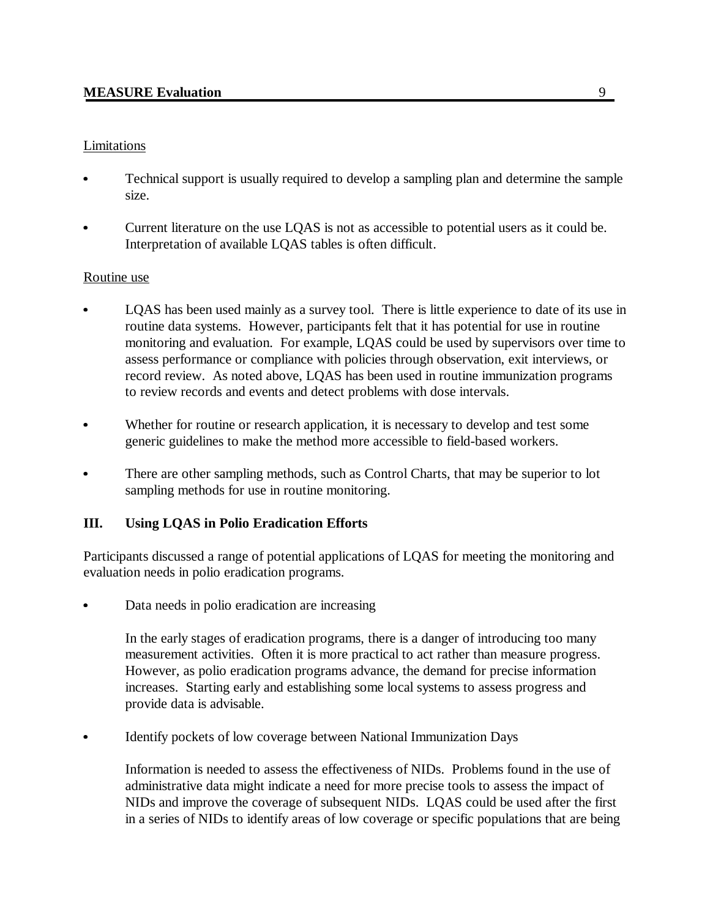### Limitations

- Technical support is usually required to develop a sampling plan and determine the sample size.
- Current literature on the use LQAS is not as accessible to potential users as it could be. Interpretation of available LQAS tables is often difficult.

### Routine use

- LQAS has been used mainly as a survey tool. There is little experience to date of its use in routine data systems. However, participants felt that it has potential for use in routine monitoring and evaluation. For example, LQAS could be used by supervisors over time to assess performance or compliance with policies through observation, exit interviews, or record review. As noted above, LQAS has been used in routine immunization programs to review records and events and detect problems with dose intervals.
- $\bullet$  Whether for routine or research application, it is necessary to develop and test some generic guidelines to make the method more accessible to field-based workers.
- There are other sampling methods, such as Control Charts, that may be superior to lot sampling methods for use in routine monitoring.

## **III. Using LQAS in Polio Eradication Efforts**

Participants discussed a range of potential applications of LQAS for meeting the monitoring and evaluation needs in polio eradication programs.

Data needs in polio eradication are increasing

In the early stages of eradication programs, there is a danger of introducing too many measurement activities. Often it is more practical to act rather than measure progress. However, as polio eradication programs advance, the demand for precise information increases. Starting early and establishing some local systems to assess progress and provide data is advisable.

Identify pockets of low coverage between National Immunization Days

Information is needed to assess the effectiveness of NIDs. Problems found in the use of administrative data might indicate a need for more precise tools to assess the impact of NIDs and improve the coverage of subsequent NIDs. LQAS could be used after the first in a series of NIDs to identify areas of low coverage or specific populations that are being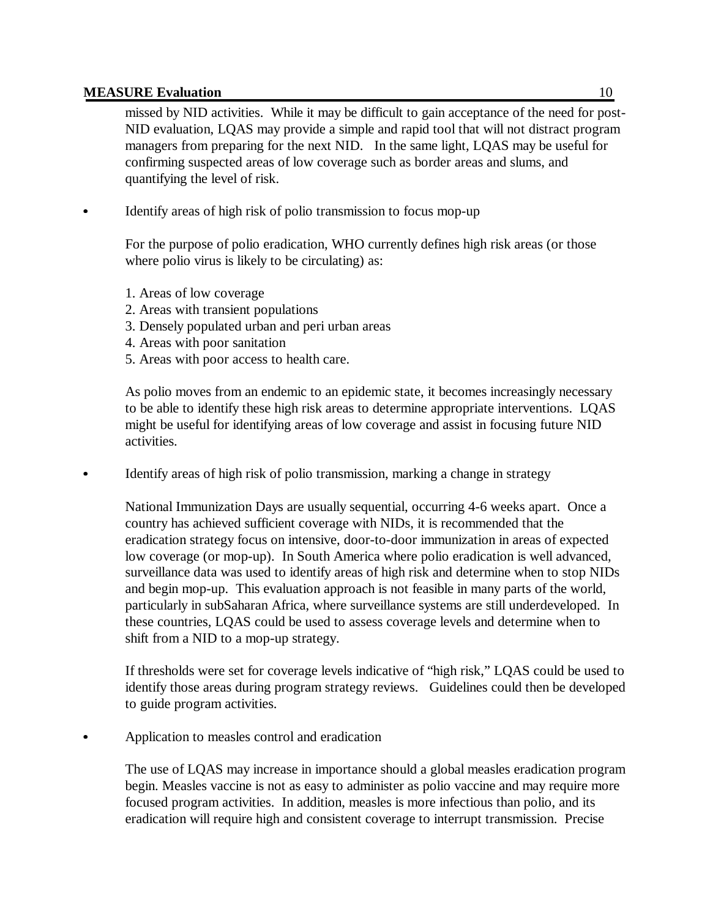missed by NID activities. While it may be difficult to gain acceptance of the need for post-NID evaluation, LQAS may provide a simple and rapid tool that will not distract program managers from preparing for the next NID. In the same light, LQAS may be useful for confirming suspected areas of low coverage such as border areas and slums, and quantifying the level of risk.

Identify areas of high risk of polio transmission to focus mop-up

For the purpose of polio eradication, WHO currently defines high risk areas (or those where polio virus is likely to be circulating) as:

- 1. Areas of low coverage
- 2. Areas with transient populations
- 3. Densely populated urban and peri urban areas
- 4. Areas with poor sanitation
- 5. Areas with poor access to health care.

As polio moves from an endemic to an epidemic state, it becomes increasingly necessary to be able to identify these high risk areas to determine appropriate interventions. LQAS might be useful for identifying areas of low coverage and assist in focusing future NID activities.

Identify areas of high risk of polio transmission, marking a change in strategy

National Immunization Days are usually sequential, occurring 4-6 weeks apart. Once a country has achieved sufficient coverage with NIDs, it is recommended that the eradication strategy focus on intensive, door-to-door immunization in areas of expected low coverage (or mop-up). In South America where polio eradication is well advanced, surveillance data was used to identify areas of high risk and determine when to stop NIDs and begin mop-up. This evaluation approach is not feasible in many parts of the world, particularly in subSaharan Africa, where surveillance systems are still underdeveloped. In these countries, LQAS could be used to assess coverage levels and determine when to shift from a NID to a mop-up strategy.

If thresholds were set for coverage levels indicative of "high risk," LQAS could be used to identify those areas during program strategy reviews. Guidelines could then be developed to guide program activities.

Application to measles control and eradication

The use of LQAS may increase in importance should a global measles eradication program begin. Measles vaccine is not as easy to administer as polio vaccine and may require more focused program activities. In addition, measles is more infectious than polio, and its eradication will require high and consistent coverage to interrupt transmission. Precise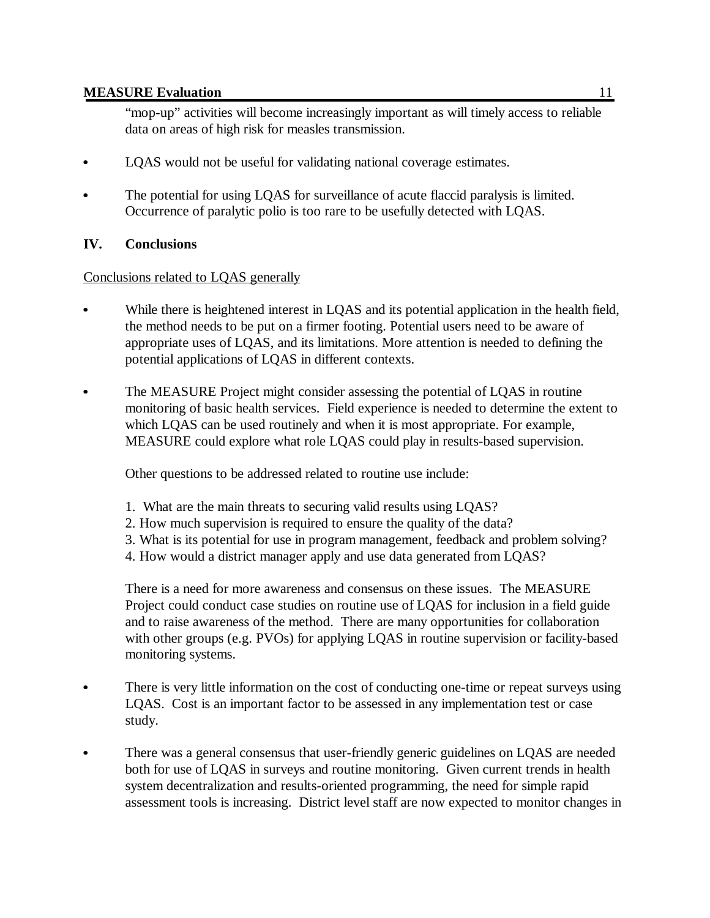"mop-up" activities will become increasingly important as will timely access to reliable data on areas of high risk for measles transmission.

- LQAS would not be useful for validating national coverage estimates.
- The potential for using LQAS for surveillance of acute flaccid paralysis is limited. Occurrence of paralytic polio is too rare to be usefully detected with LQAS.

### **IV. Conclusions**

 $\bullet$ 

#### Conclusions related to LQAS generally

- While there is heightened interest in LQAS and its potential application in the health field, the method needs to be put on a firmer footing. Potential users need to be aware of appropriate uses of LQAS, and its limitations. More attention is needed to defining the potential applications of LQAS in different contexts.
- The MEASURE Project might consider assessing the potential of LQAS in routine monitoring of basic health services. Field experience is needed to determine the extent to which LQAS can be used routinely and when it is most appropriate. For example, MEASURE could explore what role LQAS could play in results-based supervision.

Other questions to be addressed related to routine use include:

- 1. What are the main threats to securing valid results using LQAS?
- 2. How much supervision is required to ensure the quality of the data?
- 3. What is its potential for use in program management, feedback and problem solving?
- 4. How would a district manager apply and use data generated from LQAS?

There is a need for more awareness and consensus on these issues. The MEASURE Project could conduct case studies on routine use of LQAS for inclusion in a field guide and to raise awareness of the method. There are many opportunities for collaboration with other groups (e.g. PVOs) for applying LOAS in routine supervision or facility-based monitoring systems.

- There is very little information on the cost of conducting one-time or repeat surveys using LQAS. Cost is an important factor to be assessed in any implementation test or case study.
- There was a general consensus that user-friendly generic guidelines on LQAS are needed both for use of LQAS in surveys and routine monitoring. Given current trends in health system decentralization and results-oriented programming, the need for simple rapid assessment tools is increasing. District level staff are now expected to monitor changes in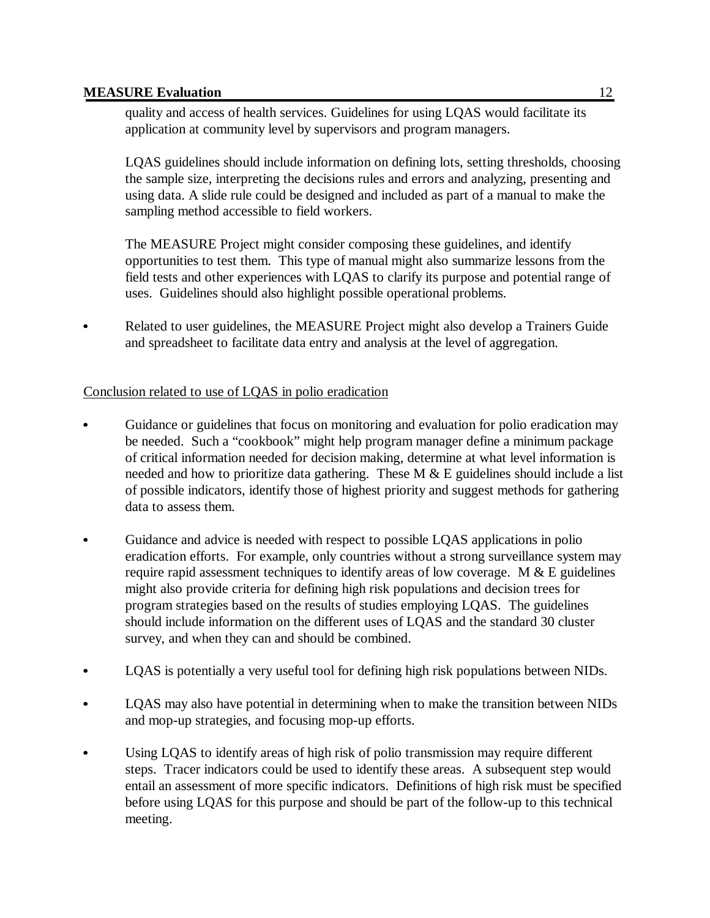$\bullet$ 

quality and access of health services. Guidelines for using LQAS would facilitate its application at community level by supervisors and program managers.

LQAS guidelines should include information on defining lots, setting thresholds, choosing the sample size, interpreting the decisions rules and errors and analyzing, presenting and using data. A slide rule could be designed and included as part of a manual to make the sampling method accessible to field workers.

The MEASURE Project might consider composing these guidelines, and identify opportunities to test them. This type of manual might also summarize lessons from the field tests and other experiences with LQAS to clarify its purpose and potential range of uses. Guidelines should also highlight possible operational problems.

 Related to user guidelines, the MEASURE Project might also develop a Trainers Guide and spreadsheet to facilitate data entry and analysis at the level of aggregation.

# Conclusion related to use of LQAS in polio eradication

- Guidance or guidelines that focus on monitoring and evaluation for polio eradication may be needed. Such a "cookbook" might help program manager define a minimum package of critical information needed for decision making, determine at what level information is needed and how to prioritize data gathering. These  $M & E$  guidelines should include a list of possible indicators, identify those of highest priority and suggest methods for gathering data to assess them.
- $\bullet$  Guidance and advice is needed with respect to possible LQAS applications in polio eradication efforts. For example, only countries without a strong surveillance system may require rapid assessment techniques to identify areas of low coverage. M  $&E$  guidelines might also provide criteria for defining high risk populations and decision trees for program strategies based on the results of studies employing LQAS. The guidelines should include information on the different uses of LQAS and the standard 30 cluster survey, and when they can and should be combined.
- LQAS is potentially a very useful tool for defining high risk populations between NIDs.
- LQAS may also have potential in determining when to make the transition between NIDs and mop-up strategies, and focusing mop-up efforts.
- Using LQAS to identify areas of high risk of polio transmission may require different steps. Tracer indicators could be used to identify these areas. A subsequent step would entail an assessment of more specific indicators. Definitions of high risk must be specified before using LQAS for this purpose and should be part of the follow-up to this technical meeting.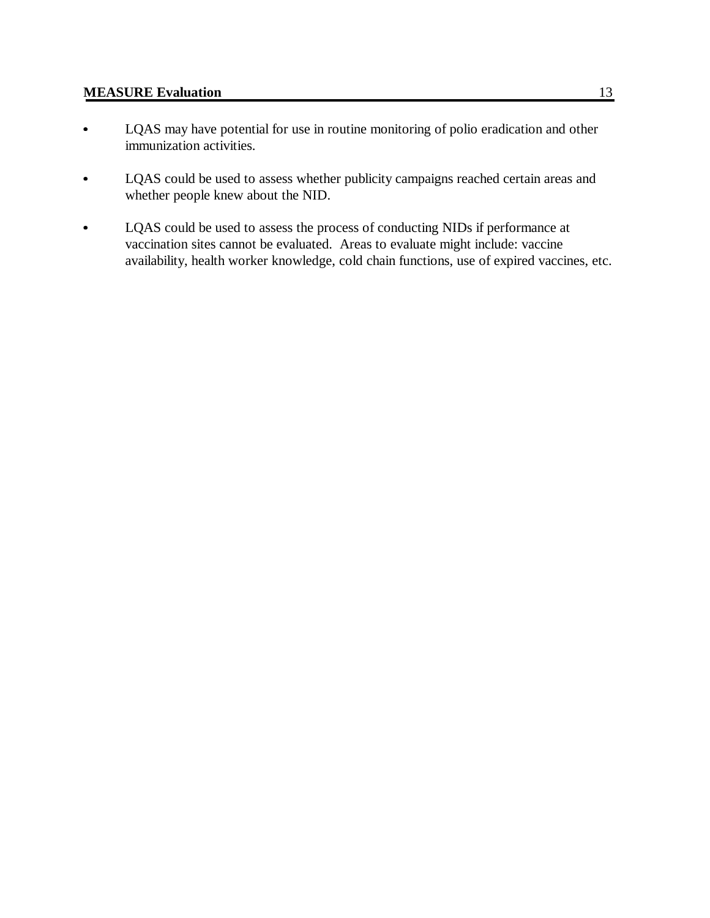- LQAS may have potential for use in routine monitoring of polio eradication and other immunization activities.
- $\bullet$  LQAS could be used to assess whether publicity campaigns reached certain areas and whether people knew about the NID.
- $\bullet$  LQAS could be used to assess the process of conducting NIDs if performance at vaccination sites cannot be evaluated. Areas to evaluate might include: vaccine availability, health worker knowledge, cold chain functions, use of expired vaccines, etc.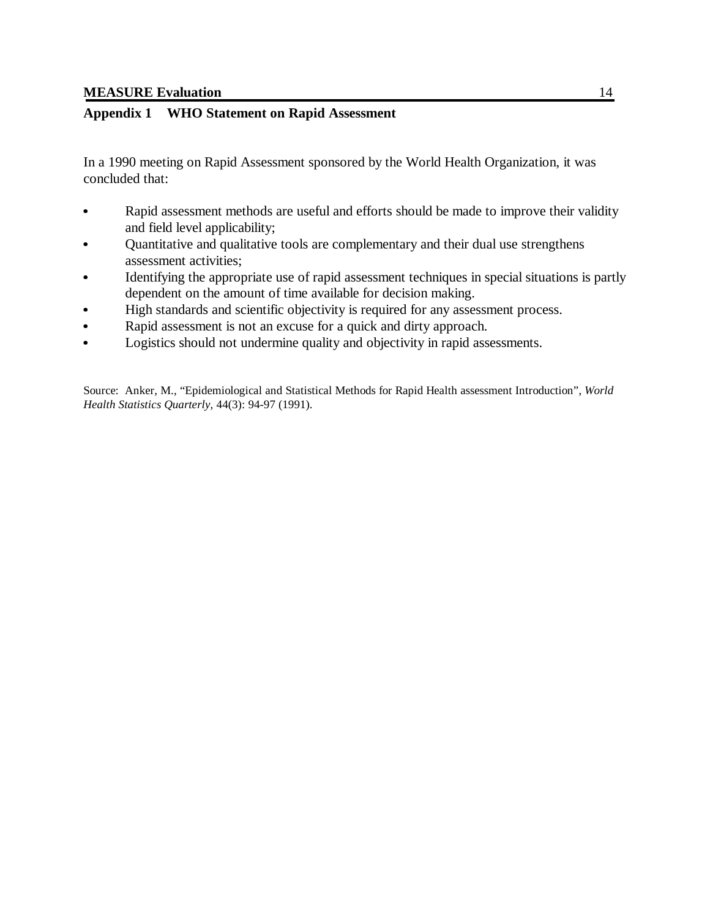#### **Appendix 1 WHO Statement on Rapid Assessment**

In a 1990 meeting on Rapid Assessment sponsored by the World Health Organization, it was concluded that:

- Rapid assessment methods are useful and efforts should be made to improve their validity and field level applicability;
- Quantitative and qualitative tools are complementary and their dual use strengthens assessment activities;
- Identifying the appropriate use of rapid assessment techniques in special situations is partly dependent on the amount of time available for decision making.
- High standards and scientific objectivity is required for any assessment process. Ī
- Rapid assessment is not an excuse for a quick and dirty approach.  $\ddot{\bullet}$
- Logistics should not undermine quality and objectivity in rapid assessments.

Source: Anker, M., "Epidemiological and Statistical Methods for Rapid Health assessment Introduction", *World Health Statistics Quarterly*, 44(3): 94-97 (1991).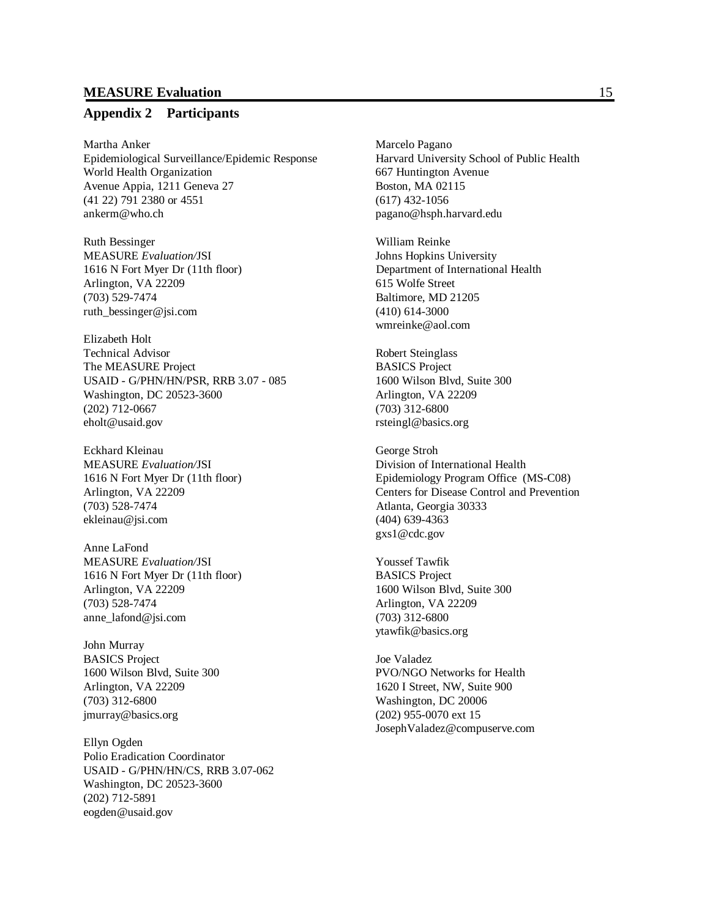#### **Appendix 2 Participants**

Martha Anker Marcelo Pagano Epidemiological Surveillance/Epidemic Response Harvard University School of Public Health World Health Organization 667 Huntington Avenue Avenue Appia, 1211 Geneva 27 Boston, MA 02115 (41 22) 791 2380 or 4551 (617) 432-1056 ankerm@who.ch pagano@hsph.harvard.edu

Ruth Bessinger William Reinke MEASURE *Evaluation/*JSI Johns Hopkins University Arlington, VA 22209 615 Wolfe Street (703) 529-7474 Baltimore, MD 21205 ruth\_bessinger@jsi.com (410) 614-3000

Elizabeth Holt Technical Advisor Robert Steinglass The MEASURE Project BASICS Project USAID - G/PHN/HN/PSR, RRB 3.07 - 085 1600 Wilson Blvd, Suite 300 Washington, DC 20523-3600 Arlington, VA 22209 (202) 712-0667 (703) 312-6800 eholt@usaid.gov rsteingl@basics.org

Eckhard Kleinau George Stroh MEASURE *Evaluation/*JSI Division of International Health (703) 528-7474 Atlanta, Georgia 30333 ekleinau@jsi.com (404) 639-4363

Anne LaFond MEASURE *Evaluation/*JSI Youssef Tawfik 1616 N Fort Myer Dr (11th floor) BASICS Project Arlington, VA 22209 1600 Wilson Blvd, Suite 300 (703) 528-7474 Arlington, VA 22209 anne\_lafond@jsi.com (703) 312-6800

John Murray BASICS Project Joe Valadez (703) 312-6800 Washington, DC 20006 jmurray@basics.org (202) 955-0070 ext 15

Ellyn Ogden Polio Eradication Coordinator USAID - G/PHN/HN/CS, RRB 3.07-062 Washington, DC 20523-3600 (202) 712-5891 eogden@usaid.gov

1616 N Fort Myer Dr (11th floor) Department of International Health wmreinke@aol.com

1616 N Fort Myer Dr (11th floor) Epidemiology Program Office (MS-C08) Arlington, VA 22209 Centers for Disease Control and Prevention gxs1@cdc.gov

ytawfik@basics.org

1600 Wilson Blvd, Suite 300 PVO/NGO Networks for Health Arlington, VA 22209 1620 I Street, NW, Suite 900 JosephValadez@compuserve.com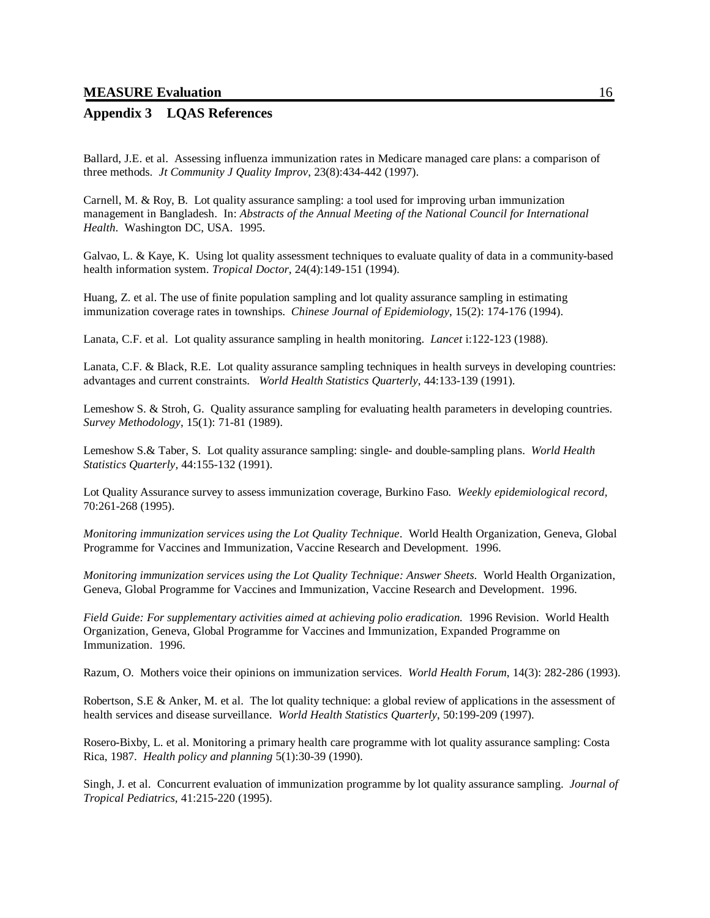#### **Appendix 3 LQAS References**

Ballard, J.E. et al. Assessing influenza immunization rates in Medicare managed care plans: a comparison of three methods. *Jt Community J Quality Improv*, 23(8):434-442 (1997).

Carnell, M. & Roy, B. Lot quality assurance sampling: a tool used for improving urban immunization management in Bangladesh. In: *Abstracts of the Annual Meeting of the National Council for International Health*. Washington DC, USA. 1995.

Galvao, L. & Kaye, K. Using lot quality assessment techniques to evaluate quality of data in a community-based health information system. *Tropical Doctor*, 24(4):149-151 (1994).

Huang, Z. et al. The use of finite population sampling and lot quality assurance sampling in estimating immunization coverage rates in townships. *Chinese Journal of Epidemiology*, 15(2): 174-176 (1994).

Lanata, C.F. et al. Lot quality assurance sampling in health monitoring. *Lancet* i:122-123 (1988).

Lanata, C.F. & Black, R.E. Lot quality assurance sampling techniques in health surveys in developing countries: advantages and current constraints. *World Health Statistics Quarterly*, 44:133-139 (1991).

Lemeshow S. & Stroh, G. Quality assurance sampling for evaluating health parameters in developing countries. *Survey Methodology*, 15(1): 71-81 (1989).

Lemeshow S.& Taber, S. Lot quality assurance sampling: single- and double-sampling plans. *World Health Statistics Quarterly,* 44:155-132 (1991).

Lot Quality Assurance survey to assess immunization coverage, Burkino Faso. *Weekly epidemiological record,* 70:261-268 (1995).

*Monitoring immunization services using the Lot Quality Technique*. World Health Organization, Geneva, Global Programme for Vaccines and Immunization, Vaccine Research and Development. 1996.

*Monitoring immunization services using the Lot Quality Technique: Answer Sheets*. World Health Organization, Geneva, Global Programme for Vaccines and Immunization, Vaccine Research and Development. 1996.

*Field Guide: For supplementary activities aimed at achieving polio eradication*. 1996 Revision. World Health Organization, Geneva, Global Programme for Vaccines and Immunization, Expanded Programme on Immunization. 1996.

Razum, O. Mothers voice their opinions on immunization services. *World Health Forum*, 14(3): 282-286 (1993).

Robertson, S.E & Anker, M. et al. The lot quality technique: a global review of applications in the assessment of health services and disease surveillance. *World Health Statistics Quarterly*, 50:199-209 (1997).

Rosero-Bixby, L. et al. Monitoring a primary health care programme with lot quality assurance sampling: Costa Rica, 1987. *Health policy and planning* 5(1):30-39 (1990).

Singh, J. et al. Concurrent evaluation of immunization programme by lot quality assurance sampling. *Journal of Tropical Pediatrics*, 41:215-220 (1995).